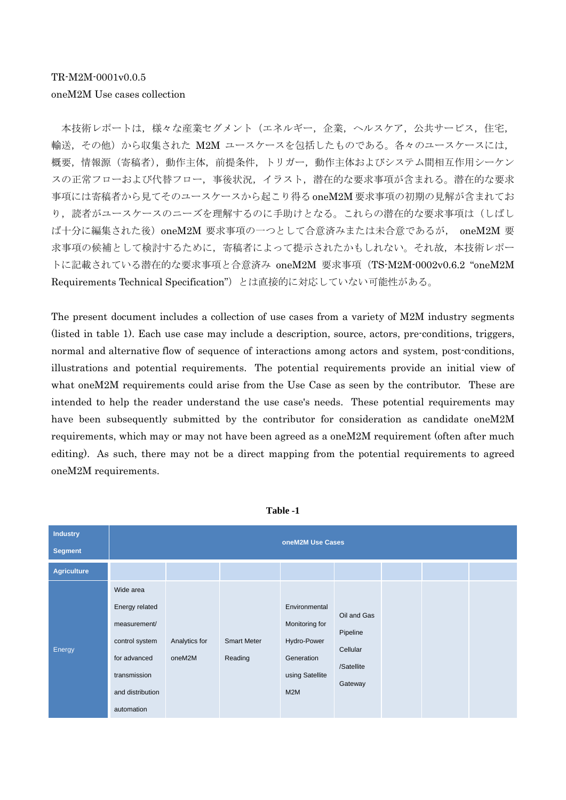本技術レポートは,様々な産業セグメント(エネルギー,企業,ヘルスケア,公共サービス,住宅, 輸送, その他)から収集された M2M ユースケースを包括したものである。各々のユースケースには, 概要,情報源(寄稿者),動作主体,前提条件,トリガー,動作主体およびシステム間相互作用シーケン スの正常フローおよび代替フロー,事後状況,イラスト,潜在的な要求事項が含まれる。潜在的な要求 事項には寄稿者から見てそのユースケースから起こり得る oneM2M 要求事項の初期の見解が含まれてお り、読者がユースケースのニーズを理解するのに手助けとなる。これらの潜在的な要求事項は(しばし ば十分に編集された後) oneM2M 要求事項の一つとして合意済みまたは未合意であるが、 oneM2M 要 求事項の候補として検討するために,寄稿者によって提示されたかもしれない。それ故,本技術レポー トに記載されている潜在的な要求事項と合意済み oneM2M 要求事項(TS-M2M-0002v0.6.2 "oneM2M Requirements Technical Specification")とは直接的に対応していない可能性がある。

The present document includes a collection of use cases from a variety of M2M industry segments (listed in table 1). Each use case may include a description, source, actors, pre-conditions, triggers, normal and alternative flow of sequence of interactions among actors and system, post-conditions, illustrations and potential requirements. The potential requirements provide an initial view of what oneM2M requirements could arise from the Use Case as seen by the contributor. These are intended to help the reader understand the use case's needs. These potential requirements may have been subsequently submitted by the contributor for consideration as candidate oneM2M requirements, which may or may not have been agreed as a oneM2M requirement (often after much editing). As such, there may not be a direct mapping from the potential requirements to agreed oneM2M requirements.



**Table -1**